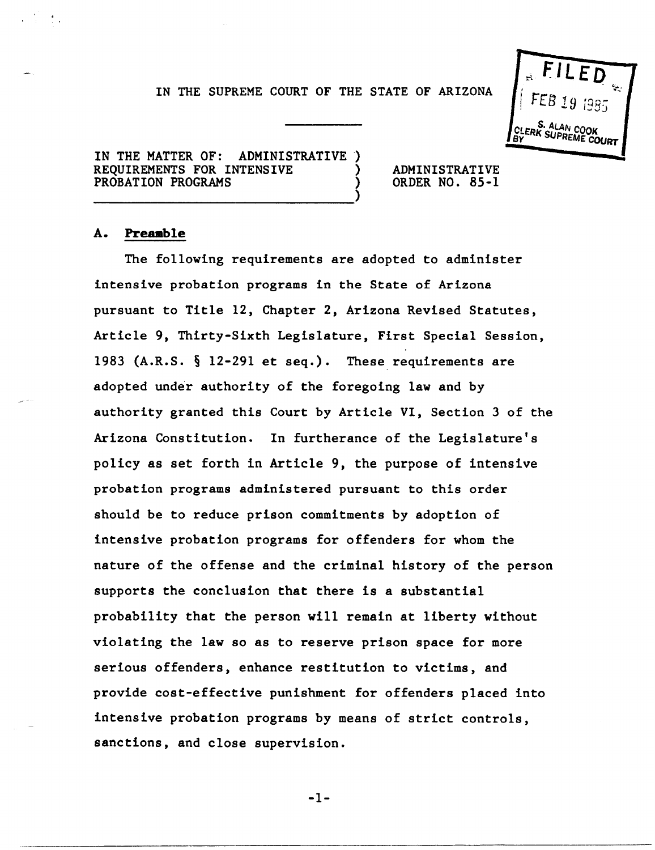## IN THE SUPREME COURT OF THE STATE OF ARIZONA



IN THE MATTER OF: ADMINISTRATIVE REQUIREMENTS FOR INTENSIVE PROBATION PROGRAMS ---------------------------)

ADMINISTRATIVE ORDER NO. 85-1

### A. **Preaable**

The following requirements are adopted to administer intensive probation programs in the State of Arizona pursuant to Title 12, Chapter 2, Arizona Revised Statutes, Article 9, Thirty-Sixth Legislature, First Special Session, 1983 (A.R.S.  $\S$  12-291 et seq.). These requirements are adopted under authority of the foregoing law and by authority granted this Court by Article VI, Section 3 of the Arizona Constitution. In furtherance of the Legislature's policy as set forth in Article 9, the purpose of intensive probation programs administered pursuant to this order should be to reduce prison commitments by adoption of intensive probation programs for offenders for whom the nature of the offense and the criminal history of the person supports the conclusion that there is a substantial probability that the person will remain at liberty without violating the law so as to reserve prison space for more serious offenders, enhance restitution to victims, and provide cost-effective punishment for offenders placed into intensive probation programs by means of strict controls, sanctions, and close supervision.

-1-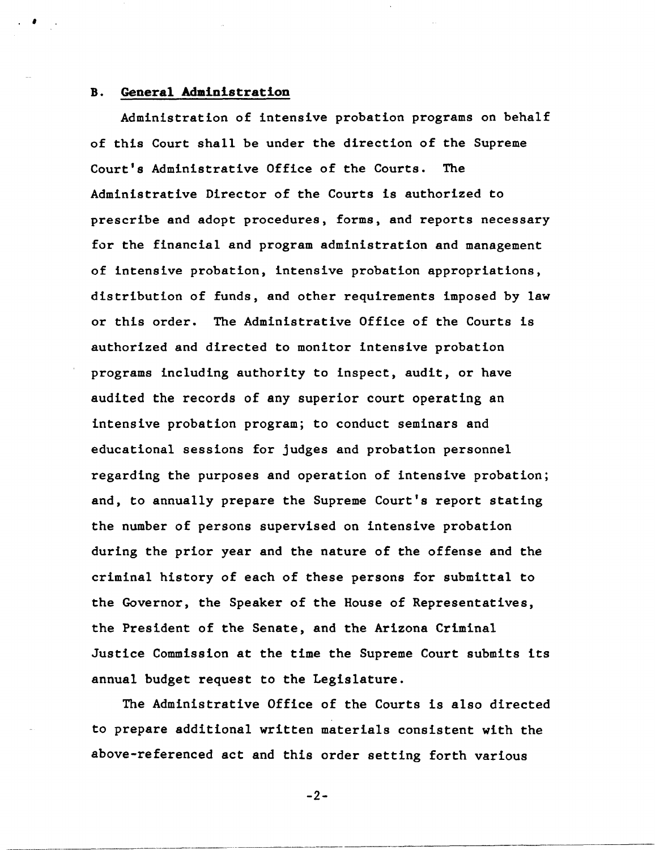### B. **General Administration**

 $\cdot$   $\cdot$ 

Administration of intensive probation programs on behalf of this Court shall be under the direction of the Supreme Court's Administrative Office of the Courts. The Administrative Director of the Courts is authorized to prescribe and adopt procedures, forms, and reports necessary for the financial and program administration and management of intensive probation, intensive probation appropriations, distribution of funds, and other requirements imposed by law or this order. The Administrative Office of the Courts is authorized and directed to monitor intensive probation programs including authority to inspect, audit, or have audited the records of any superior court operating an intensive probation program; to conduct seminars and educational sessions for judges and probation personnel regarding the purposes and operation of intensive probation; and, to annually prepare the Supreme Court's report stating the number of persons supervised on intensive probation during the prior year and the nature of the offense and the criminal history of each of these persons for submittal to the Governor, the Speaker of the House of Representatives, the President of the Senate, and the Arizona Criminal Justice Commission at the time the Supreme Court submits its annual budget request to the Legislature.

The Administrative Office of the Courts is also directed to prepare additional written materials consistent with the above-referenced act and this order setting forth various

-2-

.\_--------------- ------------\_ .... \_-----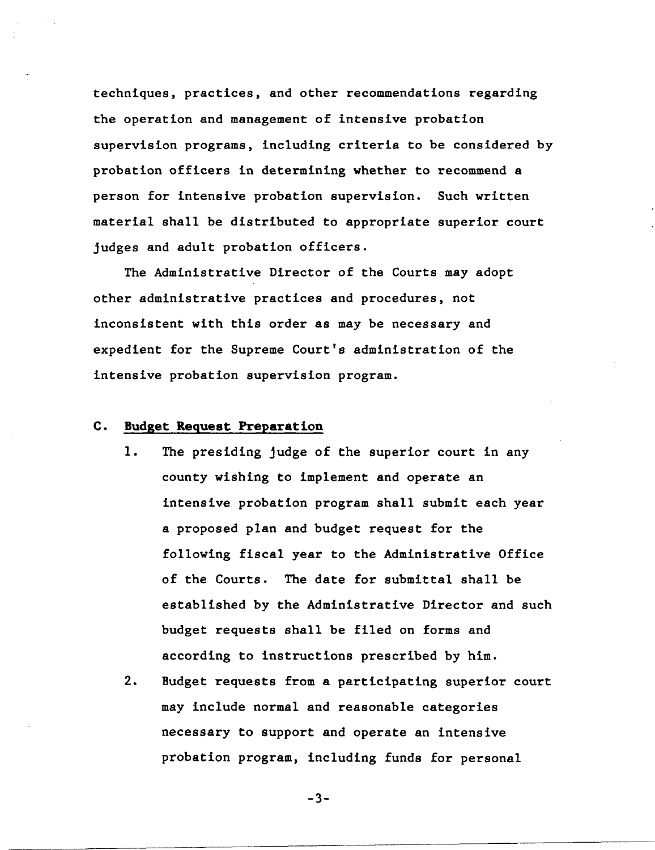techniques, practices, and other recommendations regarding the operation and management of intensive probation supervision programs, including criteria to be considered by probation officers in determining whether to recommend a person for intensive probation supervision. Such written material shall be distributed to appropriate superior court judges and adult probation officers.

The Administrative Director of the Courts may adopt other administrative practices and procedures, not inconsistent with this order as may be necessary and expedient for the Supreme Court's administration of the intensive probation supervision program.

#### c. Budget Request Preparation

- 1. The presiding judge of the superior court in any county wishing to implement and operate an intensive probation program shall submit each year a proposed plan and budget request for the following fiscal year to the Administrative Office of the Courts. The date for submittal shall be established by the Administrative Director and such budget requests shall be filed on forms and according to instructions prescribed by him.
- 2. Budget requests from a participating superior court may include normal and reasonable categories necessary to support and operate an intensive probation program, including funds for personal

-3-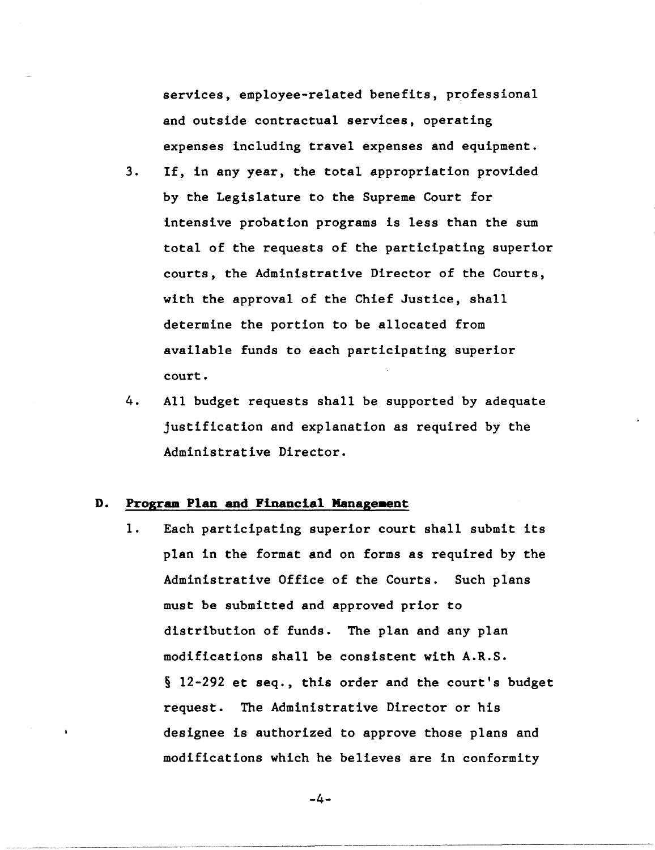services, employee-related benefits, professional and outside contractual services, operating expenses including travel expenses and equipment.

- 3. If, in any year, the total appropriation provided by the Legislature to the Supreme Court for intensive probation programs is less than the sum total of the requests of the participating superior courts, the Administrative Director of the Courts, with the approval of the Chief Justice, shall determine the portion to be allocated from available funds to each participating superior court.
- 4. All budget requests shall be supported by adequate justification and explanation as required by the Administrative Director.

### **D. Prograa Plan and Financial Manageaent**

1. Each participating superior court shall submit its plan in the format and on forms as required by the Administrative Office of the Courts. Such plans must be submitted and approved prior to distribution of funds. The plan and any plan modifications shall be consistent with A.R.S. § 12-292 et seq., this order and the court's budget request. The Administrative Director or his designee is authorized to approve those plans and modifications which he believes are in conformity

-4-

----------------- ---------------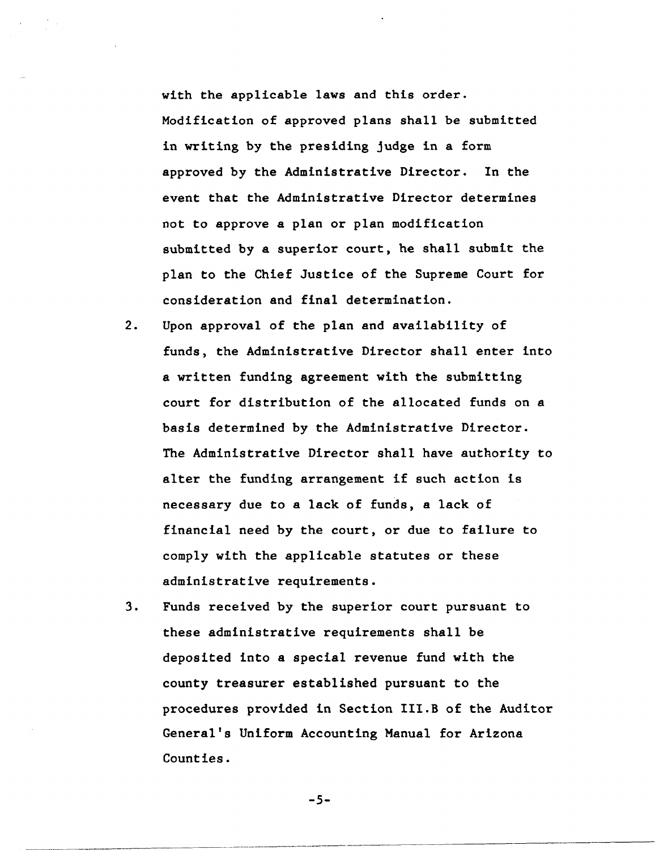with the applicable laws and this order. Modification of approved plans shall be submitted in writing by the presiding judge in a form approved by the Administrative Director. In the event that the Administrative Director determines not to approve a plan or plan modification submitted by a superior court, he shall submit the plan to the Chief Justice of the Supreme Court for consideration and final determination.

- 2. Upon approval of the plan and availability of funds, the Administrative Director shall enter into a written funding agreement with the submitting court for distribution of the allocated funds on a basis determined by the Administrative Director. The Administrative Director shall have authority to alter the funding arrangement if such action is necessary due to a lack of funds, a lack of financial need by the court, or due to failure to comply with the applicable statutes or these administrative requirements.
- 3. Funds received by the superior court pursuant to these administrative requirements shall be deposited into a special revenue fund with the county treasurer established pursuant to the procedures provided in Section III.B of the Auditor General's Uniform Accounting Manual for Arizona Counties.

-5-

---------------------------------------------------------------------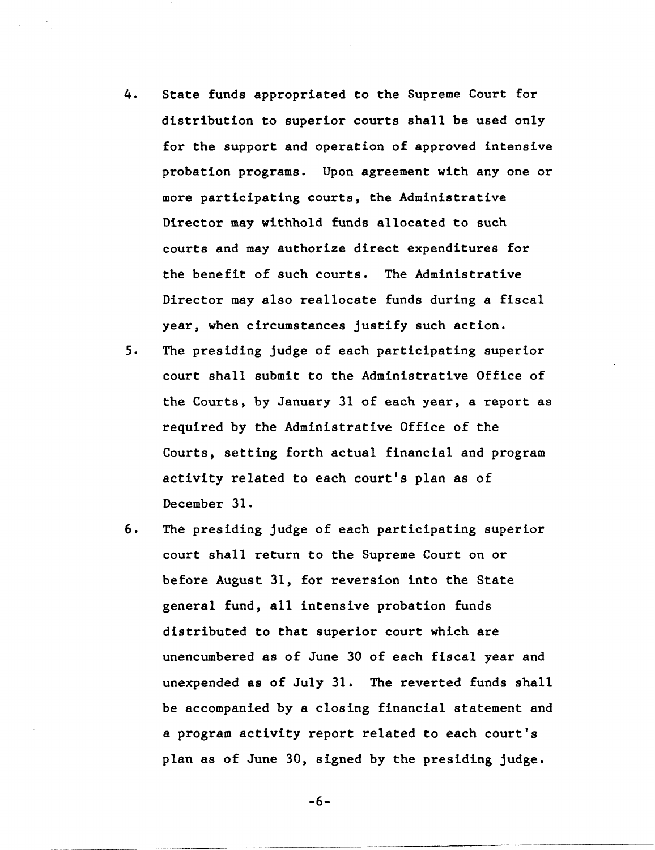- 4. State funds appropriated to the Supreme Court for distribution to superior courts shall be used only for the support and operation of approved intensive probation programs. Upon agreement with anyone or more participating courts, the Administrative Director may withhold funds allocated to such courts and may authorize direct expenditures for the benefit of such courts. The Administrative Director may also reallocate funds during a fiscal year, when circumstances justify such action.
- 5. The presiding judge of each participating superior court shall submit to the Administrative Office of the Courts, by January 31 of each year, a report as required by the Administrative Office of the Courts, setting forth actual financial and program activity related to each court's plan as of December 31.
- 6. The presiding judge of each participating superior court shall return to the Supreme Court on or before August 31, for reversion into the State general fund, all intensive probation funds distributed to that superior court which are unencumbered as of June 30 of each fiscal year and unexpended as of July 31. The reverted funds shall be accompanied by a closing financial statement and a program activity report related to each court's plan as of June 30, signed by the presiding judge.

-6-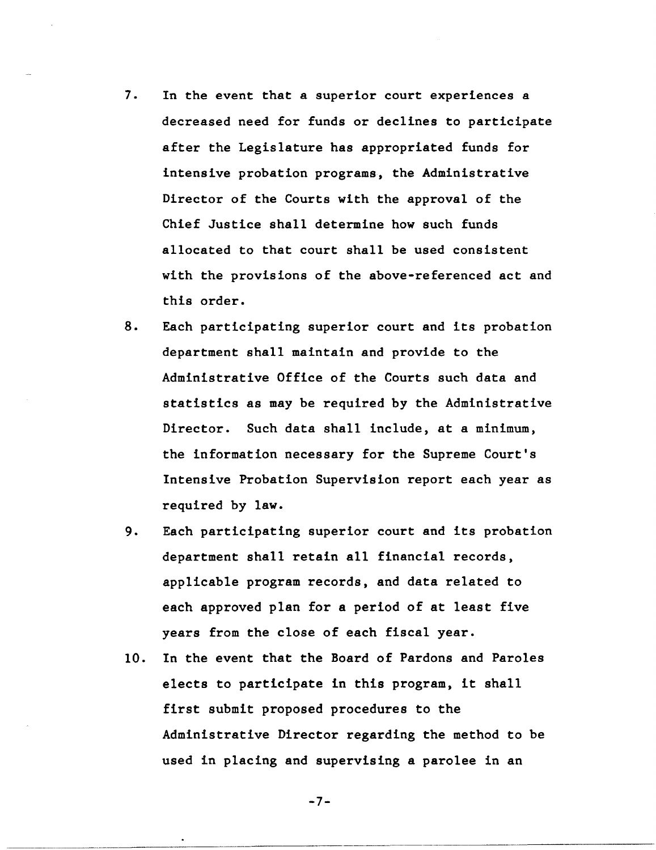- 7. In the event that a superior court experiences a decreased need for funds or declines to participate after the Legislature has appropriated funds for intensive probation programs, the Administrative Director of the Courts with the approval of the Chief Justice shall determine how such funds allocated to that court shall be used consistent with the provisions of the above-referenced act and this order.
- 8. Each participating superior court and its probation department shall maintain and provide to the Administrative Office of the Courts such data and statistics as may be required by the Administrative Director. Such data shall include, at a minimum, the information necessary for the Supreme Court's Intensive Probation Supervision report each year as required by law.
- 9. Each participating superior court and its probation department shall retain all financial records, applicable program records, and data related to each approved plan for a period of at least five years from the close of each fiscal year.
- 10. In the event that the Board of Pardons and Paroles elects to participate in this program, it shall first submit proposed procedures to the Administrative Director regarding the method to be used in placing and supervising a parolee in an

-7-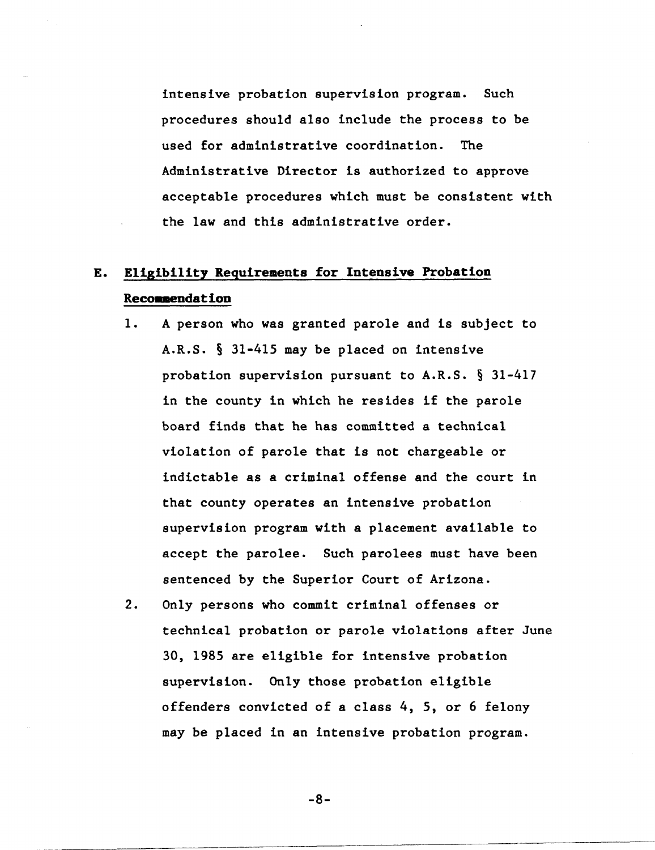intensive probation supervision program. Such procedures should also include the process to be used for administrative coordination. The Administrative Director is authorized to approve acceptable procedures which must be consistent with the law and this administrative order.

# E. Eligibility Requirements for Intensive Probation Recommendation

- 1. A person who was granted parole and is subject to A.R.S. § 31-415 may be placed on intensive probation supervision pursuant to A.R.S. § 31-417 in the county in which he resides if the parole board finds that he has committed a technical violation of parole that is not chargeable or indictable as a criminal offense and the court in that county operates an intensive probation supervision program with a placement available to accept the parolee. Such parolees must have been sentenced by the Superior Court of Arizona.
- 2. Only persons who commit criminal offenses or technical probation or parole violations after June 30, 1985 are eligible for intensive probation supervision. Only those probation eligible offenders convicted of a class 4, 5, or 6 felony may be placed in an intensive probation program.

-8-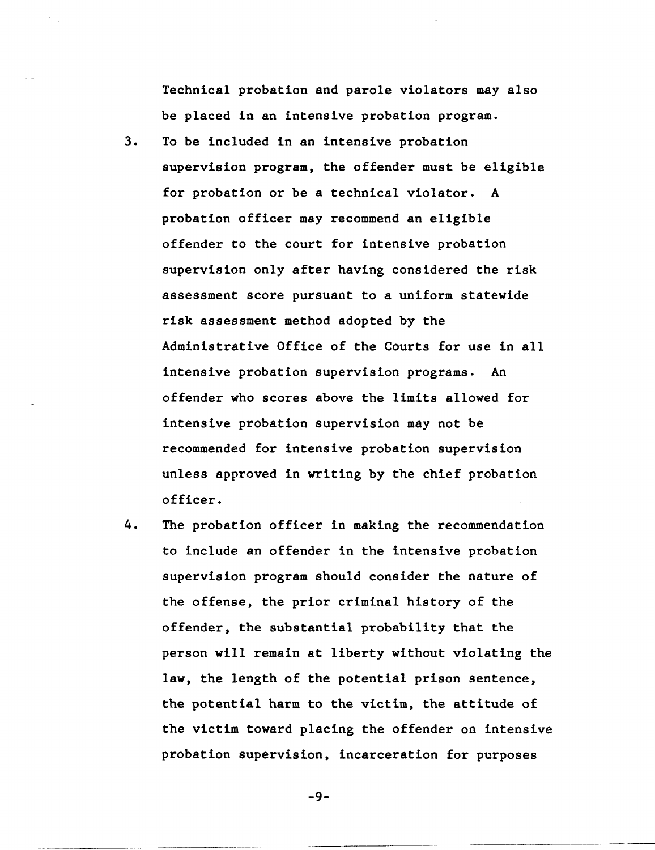Technical probation and parole violators may also be placed in an intensive probation program.

- 3. To be included in an intensive probation supervision program, the offender must be eligible for probation or be a technical violator. A probation officer may recommend an eligible offender to the court for intensive probation supervision only after having considered the risk assessment score pursuant to a uniform statewide risk assessment method adopted by the Administrative Office of the Courts for use in all intensive probation supervision programs. An offender who scores above the limits allowed for intensive probation supervision may not be recommended for intensive probation supervision unless approved in writing by the chief probation officer.
- 4. The probation officer in making the recommendation to include an offender in the intensive probation supervision program should consider the nature of the offense, the prior criminal history of the offender, the substantial probability that the person will remain at liberty without violating the law, the length of the potential prison sentence, the potential harm to the victim, the attitude of the victim toward placing the offender on intensive probation supervision, incarceration for purposes

-9-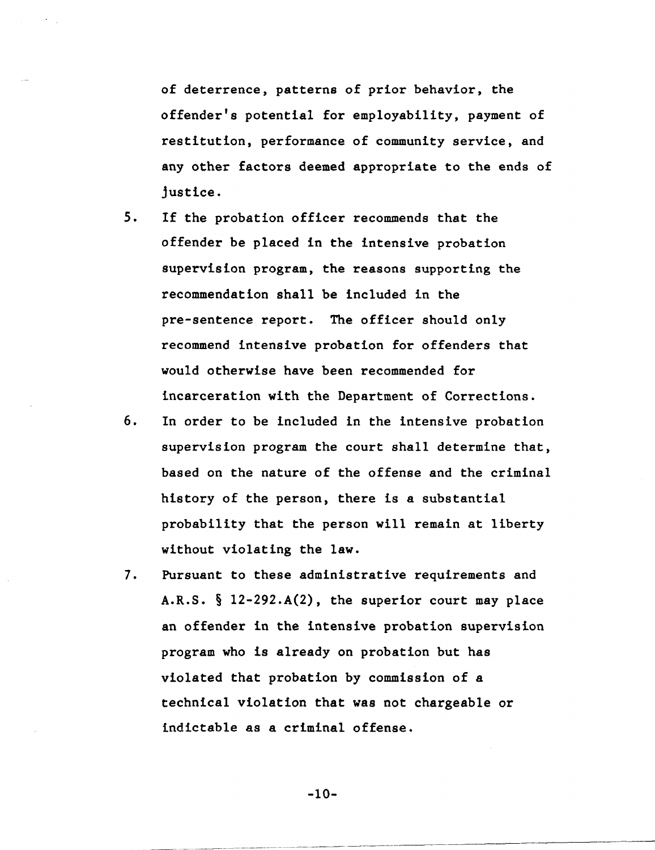of deterrence, patterns of prior behavior, the offender's potential for employability, payment of restitution, performance of community service, and any other factors deemed appropriate to the ends of justice.

- 5. If the probation officer recommends that the offender be placed in the intensive probation supervision program, the reasons supporting the recommendation shall be included in the pre-sentence report. The officer should only recommend intensive probation for offenders that would otherwise have been recommended for incarceration with the Department of Corrections.
- 6. In order to be included in the intensive probation supervision program the court shall determine that, based on the nature of the offense and the criminal history of the person, there is a substantial probability that the person will remain at liberty without violating the law.
- 7. Pursuant to these administrative requirements and A.R.S. § l2-292.A(2), the superior court may place an offender in the intensive probation supervision program who is already on probation but has violated that probation by commission of a technical violation that was not chargeable or indictable as a criminal offense.

-10-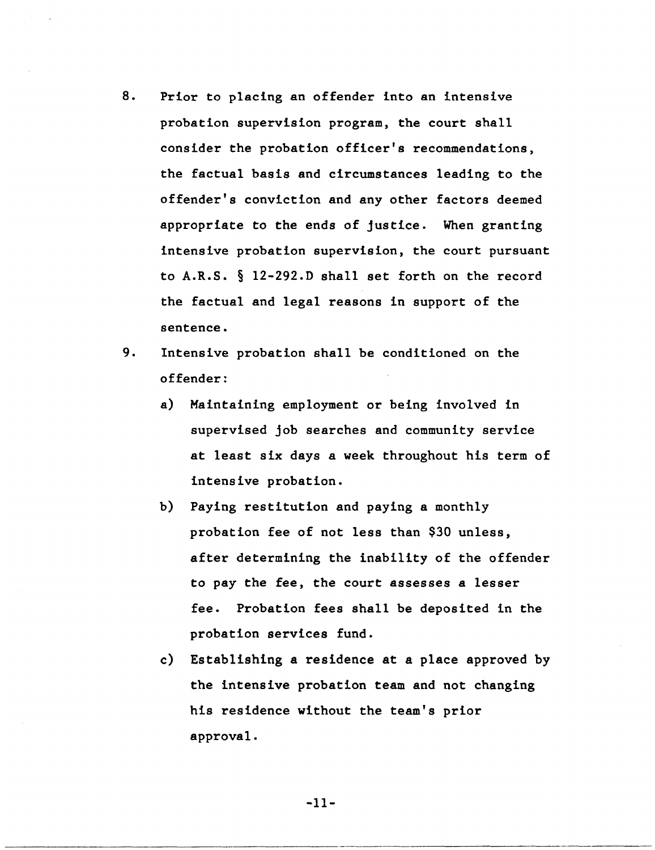- 8. Prior to placing an offender into an intensive probation supervision program, the court shall consider the probation officer's recommendations, the factual basis and circumstances leading to the offender's conviction and any other factors deemed appropriate to the ends of justice. When granting intensive probation supervision, the court pursuant to A.R.S. § 12-292.D shall set forth on the record the factual and legal reasons in support of the sentence.
- 9. Intensive probation shall be conditioned on the offender:
	- a) Maintaining employment or being involved in supervised job searches and community service at least six days a week throughout his term of intensive probation.
	- b) Paying restitution and paying a monthly probation fee of not less than \$30 unless, after determining the inability of the offender to pay the fee, the court assesses a lesser fee. Probation fees shall be deposited in the probation services fund.
	- c) Establishing a residence at a place approved by the intensive probation team and not changing his residence without the team's prior approval.

-11-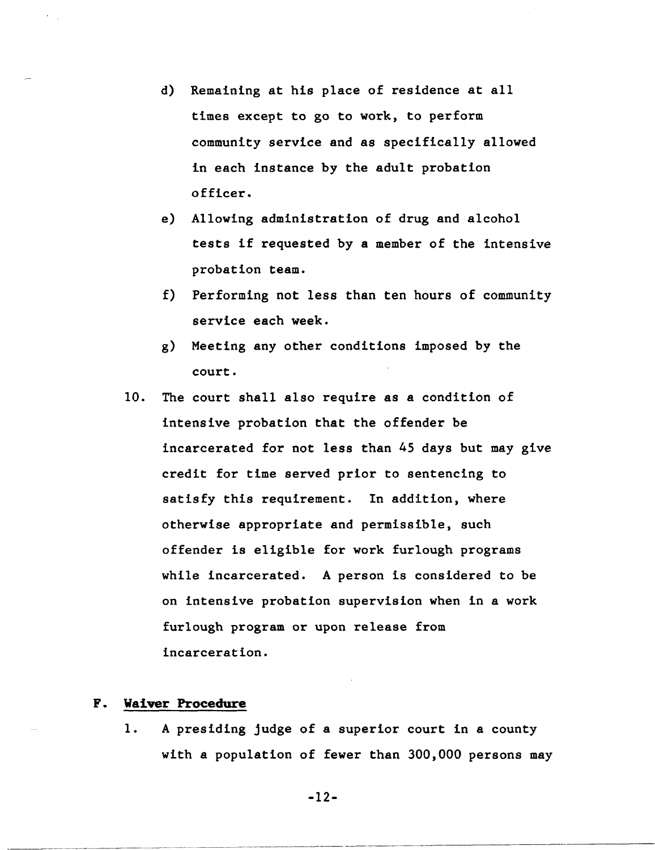- d) Remaining at his place of residence at all times except to go to work, to perform community service and as specifically allowed in each instance by the adult probation officer.
- e) Allowing administration of drug and alcohol tests if requested by a member of the intensive probation team.
- f) Performing not less than ten hours of community service each week.
- g) Meeting any other conditions imposed by the court.
- 10. The court shall also require as a condition of intensive probation that the offender be incarcerated for not less than 45 days but may give credit for time served prior to sentencing to satisfy this requirement. In addition, where otherwise appropriate and permissible, such offender is eligible for work furlough programs while incarcerated. A person is considered to be on intensive probation supervision when in a work furlough program or upon release from incarceration.

### **F. Waiver Procedure**

-----.. -.------.----.. ----..... ~-.--... - ----- ------------ ----- ---

1. A presiding judge of a superior court in a county with a population of fewer than 300,000 persons may

-12-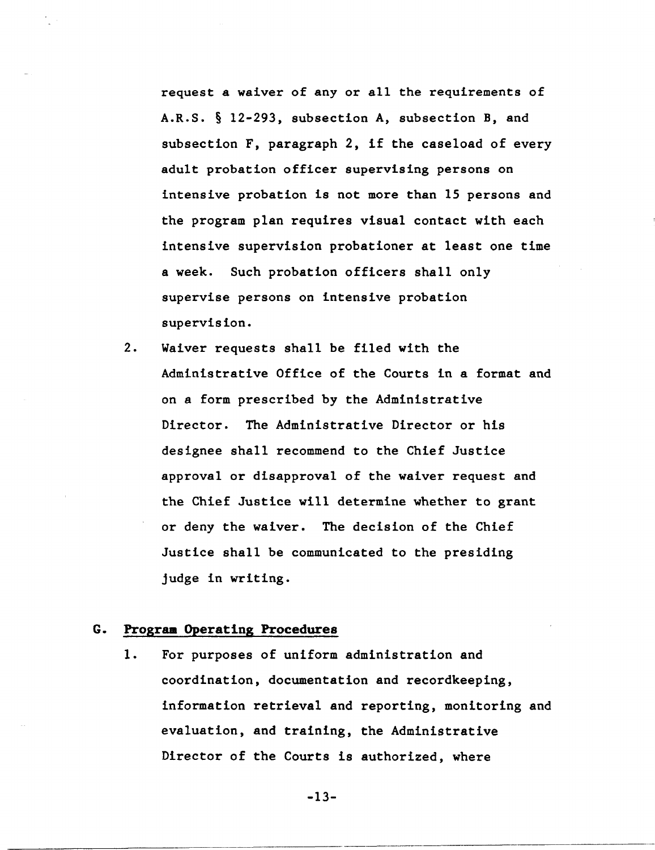request a waiver of any or all the requirements of A.R.S. § 12-293, subsection A, subsection B, and subsection F, paragraph 2, if the caseload of every adult probation officer supervising persons on intensive probation is not more than 15 persons and the program plan requires visual contact with each intensive supervision probationer at least one time a week. Such probation officers shall only supervise persons on intensive probation supervision.

2. Waiver requests shall be filed with the Administrative Office of the Courts in a format and on a form prescribed by the Administrative Director. The Administrative Director or his designee shall recommend to the Chief Justice approval or disapproval of the waiver request and the Chief Justice will determine whether to grant or deny the waiver. The decision of the Chief Justice shall be communicated to the presiding judge in writing.

## G. Prograa Operating Procedures

1. For purposes of uniform administration and coordination, documentation and recordkeeping, information retrieval and reporting, monitoring and evaluation, and training, the Administrative Director of the Courts is authorized, where

-13-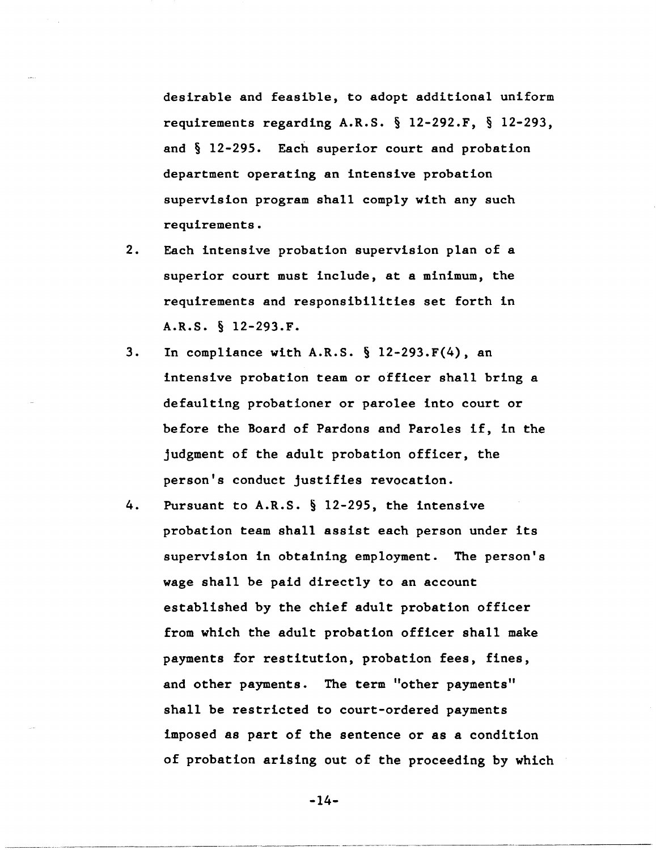desirable and feasible, to adopt additional uniform requirements regarding A.R.S. § 12-292.F, § 12-293, and § 12-295. Each superior court and probation department operating an intensive probation supervision program shall comply with any such requirements.

- 2. Each intensive probation supervision plan of a superior court must include, at a minimum, the requirements and responsibilities set forth in A.R.S. § 12-293.F.
- 3. In compliance with A.R.S. § 12-293.F(4), an intensive probation team or officer shall bring a defaulting probationer or parolee into court or before the Board of Pardons and Paroles if, in the judgment of the adult probation officer, the person's conduct justifies revocation.
- 4. Pursuant to A.R.S. § 12-295, the intensive probation team shall assist each person under its supervision in obtaining employment. The person's wage shall be paid directly to an account established by the chief adult probation officer from which the adult probation officer shall make payments for restitution, probation fees, fines, and other payments. The term "other payments" shall be restricted to court-ordered payments imposed as part of the sentence or as a condition of probation arising out of the proceeding by which

-14-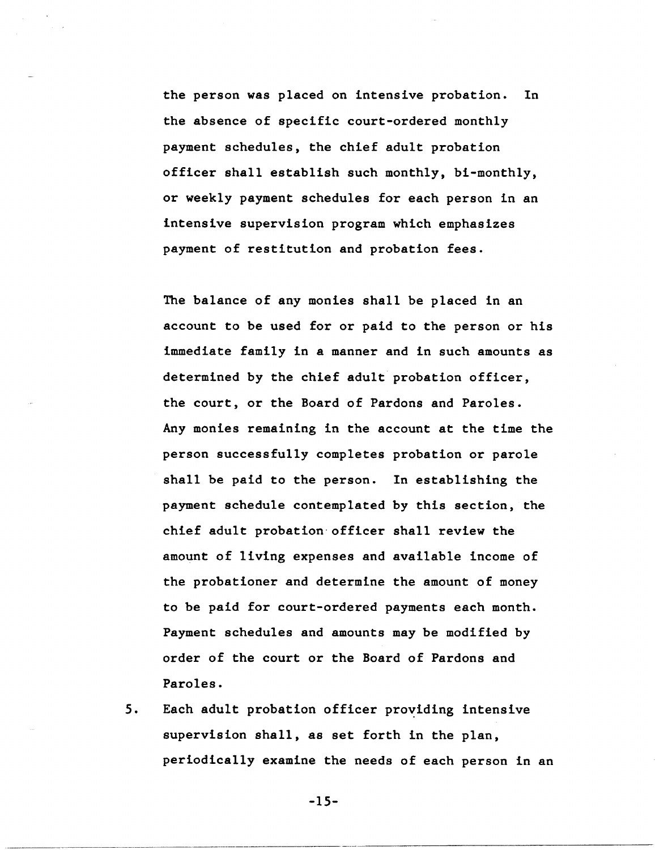the person was placed on intensive probation. In the absence of specific court-ordered monthly payment schedules, the chief adult probation officer shall establish such monthly, bi-monthly, or weekly payment schedules for each person in an intensive supervision program which emphasizes payment of restitution and probation fees.

The balance of any monies shall be placed in an account to be used for or paid to the person or his immediate family in a manner and in such amounts as determined by the chief adult probation officer, the court, or the Board of Pardons and Paroles. Any monies remaining in the account at the time the person successfully completes probation or parole shall be paid to the person. In establishing the payment schedule contemplated by this section, the chief adult probation-officer shall review the amount of living expenses and available income of the probationer and determine the amount of money to be paid for court-ordered payments each month. Payment schedules and amounts may be modified by order of the court or the Board of Pardons and Paroles.

5. Each adult probation officer providing intensive supervision shall, as set forth in the plan, periodically examine the needs of each person in an

-15-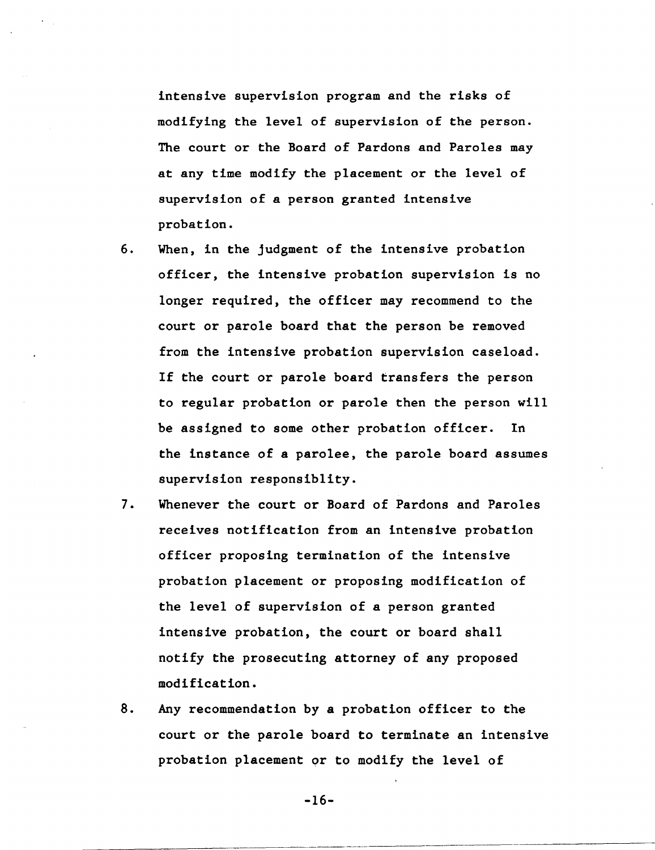intensive supervision program and the risks of modifying the level of supervision of the person. The court or the Board of Pardons and Paroles may at any time modify the placement or the level of supervision of a person granted intensive probation.

- 6. When, in the judgment of the intensive probation officer, the intensive probation supervision is no longer required, the officer may recommend to the court or parole board that the person be removed from the intensive probation supervision caseload. If the court or parole board transfers the person to regular probation or parole then the person will be assigned to some other probation officer. In the instance of a parolee, the parole board assumes supervision responsiblity.
- 7. Whenever the court or Board of Pardons and Paroles receives notification from an intensive probation officer proposing termination of the intensive probation placement or proposing modification of the level of supervision of a person granted intensive probation, the court or board shall notify the prosecuting attorney of any proposed modification.
- 8. Any recommendation by a probation officer to the court or the parole board to terminate an intensive probation placement or to modify the level of

-16-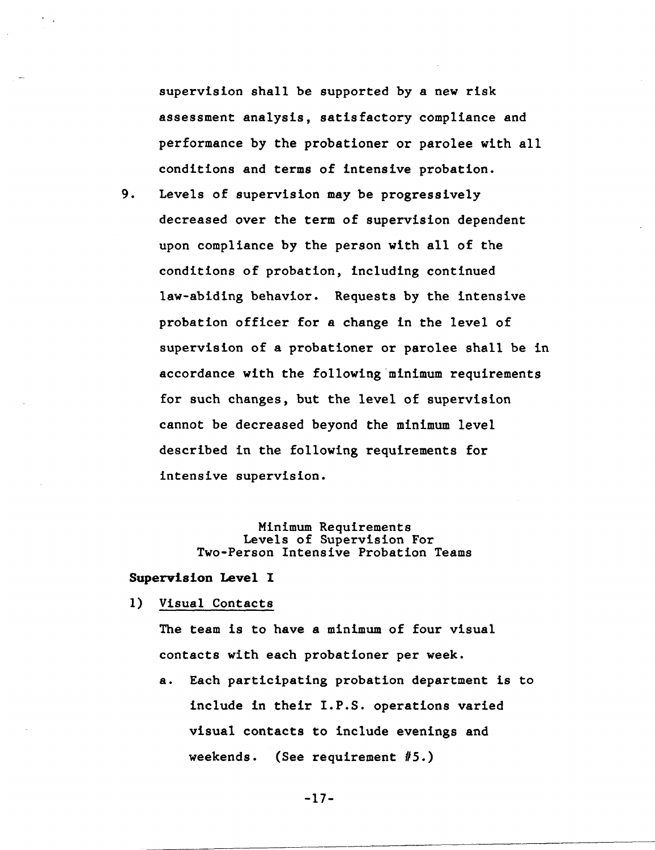supervision shall be supported by a new risk assessment analysis, satisfactory compliance and performance by the probationer or parolee with all conditions and terms of intensive probation.

9. Levels of supervision may be progressively decreased over the term of supervision dependent upon compliance by the person with all of the conditions of probation, including continued law-abiding behavior. Requests by the intensive probation officer for a change in the level of supervision of a probationer or parolee shall be in accordance with the following minimum requirements for such changes, but the level of supervision cannot be decreased beyond the minimum level described in the following requirements for intensive supervision.

## Minimum Requirements Levels of Supervision For Two-Person Intensive Probation Teams

#### Supervision Level 1

#### 1) Visual Contacts

The team is to have a minimum of four visual contacts with each probationer per week.

a. Each participating probation department is to include in their I.P.S. operations varied visual contacts to include evenings and weekends. (See requirement #5.)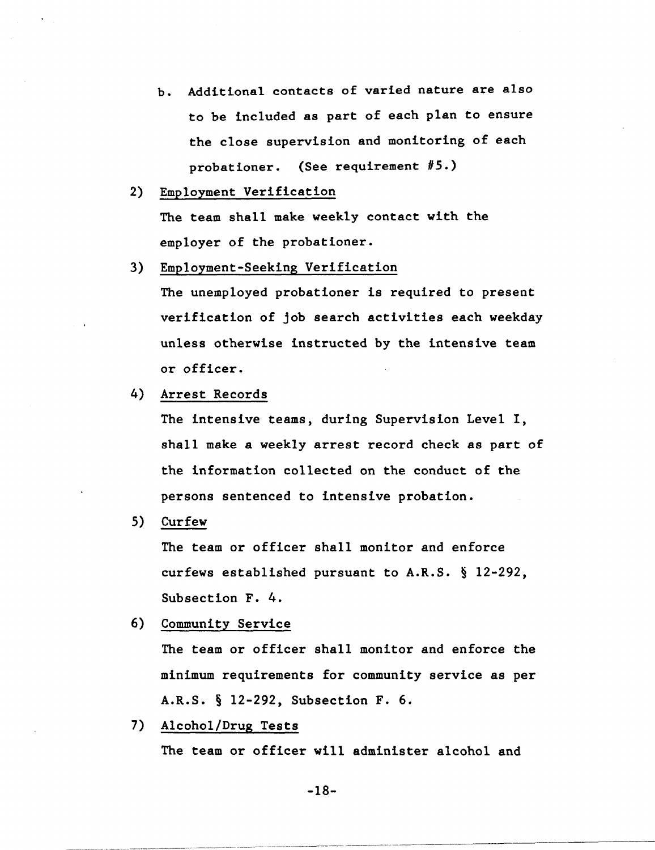- b. Additional contacts of varied nature are also to be included as part of each plan to ensure the close supervision and monitoring of each probationer. (See requirement #5.)
- 2) Employment Verification

The team shall make weekly contact with the employer of the probationer.

3) Employment-Seeking Verification

The unemployed probationer is required to present verification of job search activities each weekday unless otherwise instructed by the intensive team or officer.

4) Arrest Records

The intensive teams, during Supervision Level I, shall make a weekly arrest record check as part of the information collected on the conduct of the persons sentenced to intensive probation.

S) Curfew

The team or officer shall monitor and enforce curfews established pursuant to A.R.S. § 12-292, Subsection F. 4.

6) Community Service

The team or officer shall monitor and enforce the minimum requirements for community service as per A.R.S. § 12-292, Subsection F. 6.

7) Alcohol/Drug Tests

The team or officer will administer alcohol and

-18-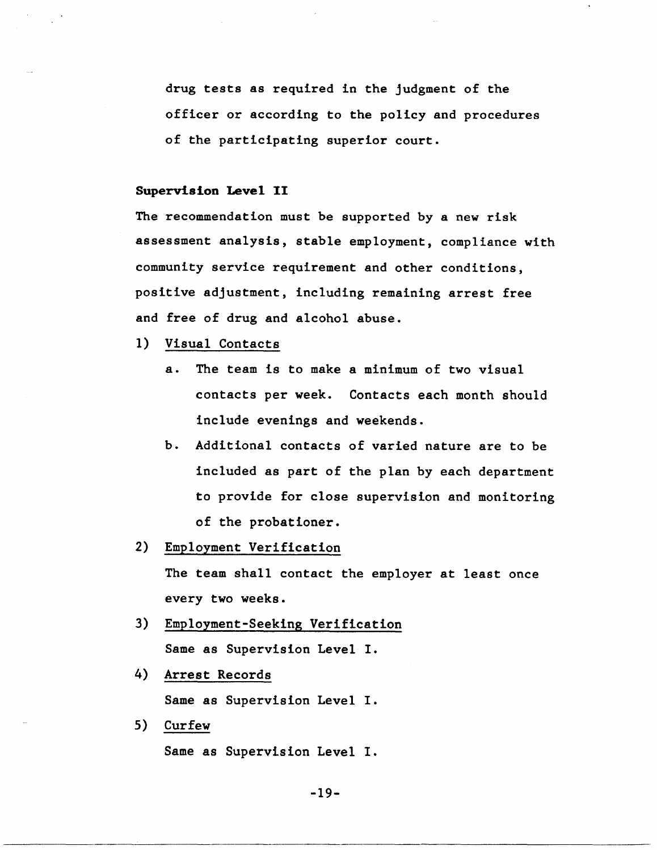drug tests as required in the judgment of the officer or according to the policy and procedures of the participating superior court.

## **Supervision Level II**

The recommendation must be supported by a new risk assessment analysis, stable employment, compliance with community service requirement and other conditions, positive adjustment, including remaining arrest free and free of drug and alcohol abuse.

- 1) Visual Contacts
	- a. The team is to make a minimum of two visual contacts per week. Contacts each month should include evenings and weekends.
	- b. Additional contacts of varied nature are to be included as part of the plan by each department to provide for close supervision and monitoring of the probationer.
- 2) Employment Verification

The team shall contact the employer at least once every two weeks.

- 3) Employment-Seeking Verification Same as Supervision Level I.
- 4) Arrest Records

Same as Supervision Level I.

5) Curfew

Same as Supervision Level I.

-19-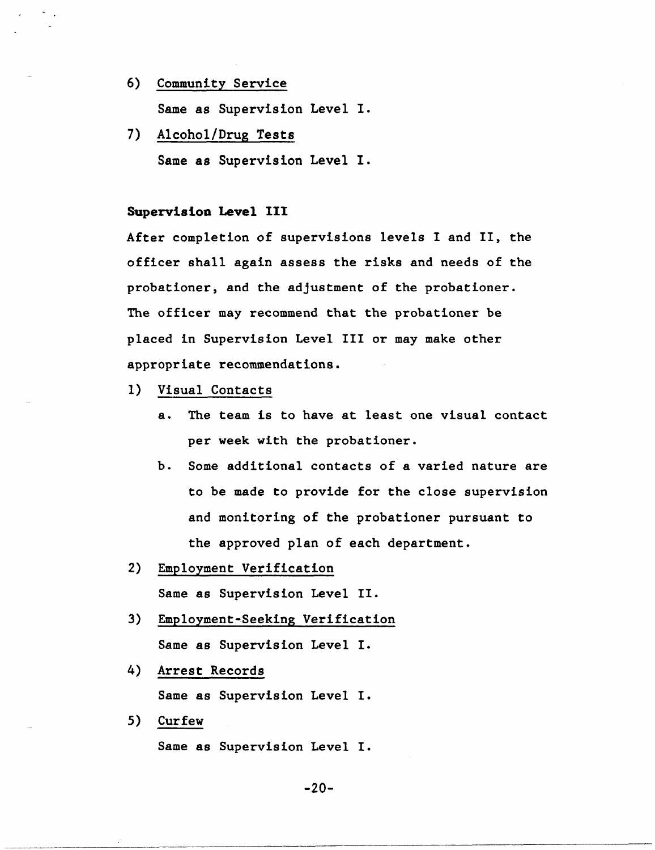- 6) Community Service Same as Supervision Level I.
- 7) Alcohol/Drug Tests Same as Supervision Level I.

## Supervision Level III

After completion of supervisions levels I and II, the officer shall again assess the risks and needs of the probationer, and the adjustment of the probationer. The officer may recommend that the probationer be placed in Supervision Level III or may make other appropriate recommendations.

- 1) Visual Contacts
	- a. The team is to have at least one visual contact per week with the probationer.
	- b. Some additional contacts of a varied nature are to be made to provide for the close supervision and monitoring of the probationer pursuant to the approved plan of each department.
- 2) Employment Verification Same as Supervision Level II.
- 3) Employment-Beeking Verification Same as Supervision Level I.
- 4) Arrest Records Same as Supervision Level I.
- 5) Curfew

Same as Supervision Level I.

-20-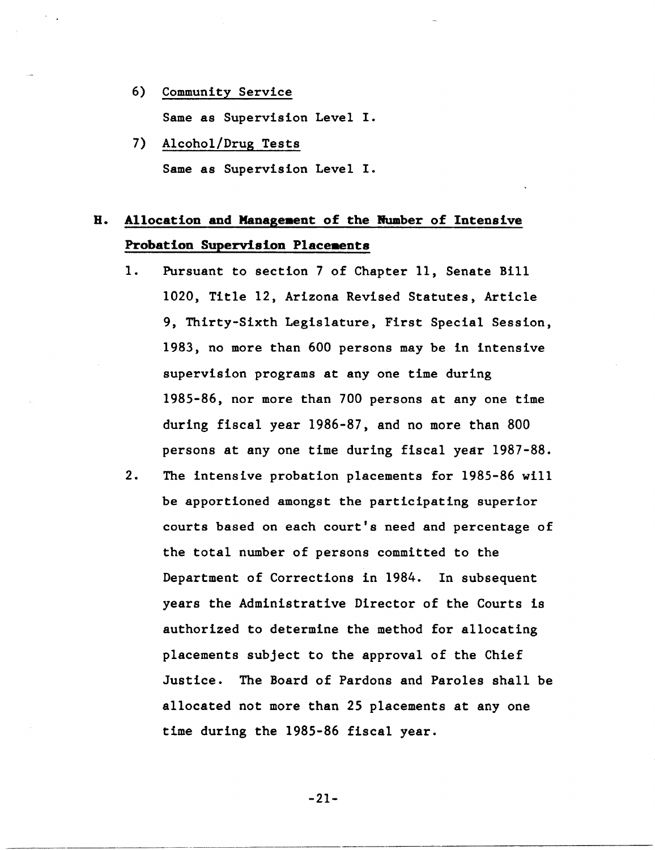- 6) Community Service Same as Supervision Level I.
- 7) Alcohol/Drug Tests Same as Supervision Level I.

## H. Allocation and Management of the Number of Intensive Probation Supervision Placeaents

- 1. Pursuant to section 7 of Chapter 11, Senate Bill 1020, Title 12, Arizona Revised Statutes, Article 9, Thirty-Sixth Legislature, First Special Session, 1983, no more than 600 persons may be in intensive supervision programs at anyone time during 1985-86, nor more than 700 persons at anyone time during fiscal year 1986-87, and no more than 800 persons at anyone time during fiscal year 1987-88.
- 2. The intensive probation placements for 1985-86 will be apportioned amongst the participating superior courts based on each court's need and percentage of the total number of persons committed to the Department of Corrections in 1984. In subsequent years the Administrative Director of the Courts is authorized to determine the method for allocating placements subject to the approval of the Chief Justice. The Board of Pardons and Paroles shall be allocated not more than 25 placements at anyone time during the 1985-86 fiscal year.

-21-